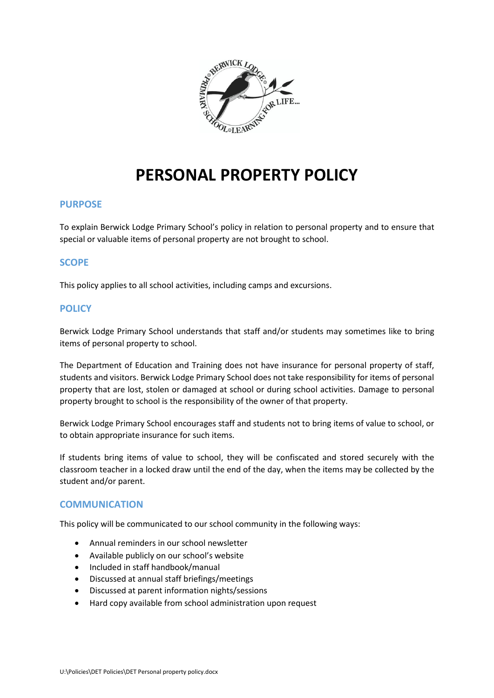

# **PERSONAL PROPERTY POLICY**

#### **PURPOSE**

To explain Berwick Lodge Primary School's policy in relation to personal property and to ensure that special or valuable items of personal property are not brought to school.

## **SCOPE**

This policy applies to all school activities, including camps and excursions.

#### **POLICY**

Berwick Lodge Primary School understands that staff and/or students may sometimes like to bring items of personal property to school.

The Department of Education and Training does not have insurance for personal property of staff, students and visitors. Berwick Lodge Primary School does not take responsibility for items of personal property that are lost, stolen or damaged at school or during school activities. Damage to personal property brought to school is the responsibility of the owner of that property.

Berwick Lodge Primary School encourages staff and students not to bring items of value to school, or to obtain appropriate insurance for such items.

If students bring items of value to school, they will be confiscated and stored securely with the classroom teacher in a locked draw until the end of the day, when the items may be collected by the student and/or parent.

#### **COMMUNICATION**

This policy will be communicated to our school community in the following ways:

- Annual reminders in our school newsletter
- Available publicly on our school's website
- Included in staff handbook/manual
- Discussed at annual staff briefings/meetings
- Discussed at parent information nights/sessions
- Hard copy available from school administration upon request